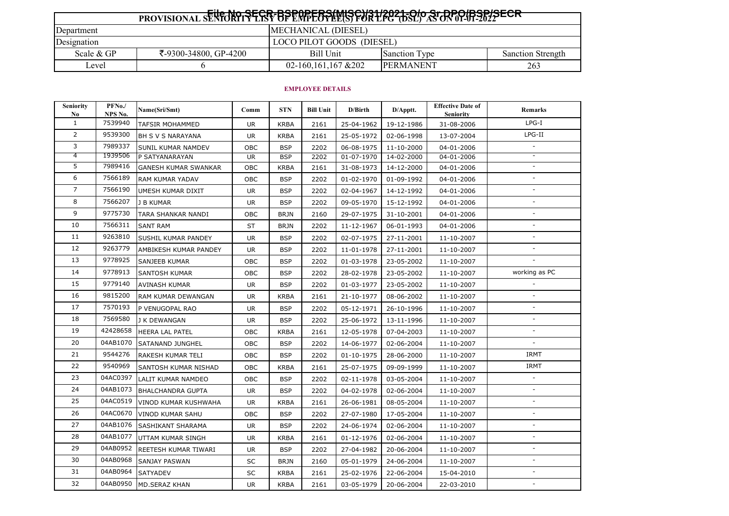| $F_{11}$ , il, arab benantre/mier)/34/3034 al, e. bro/ben/eren            |                                    |                           |                      |                   |  |  |  |
|---------------------------------------------------------------------------|------------------------------------|---------------------------|----------------------|-------------------|--|--|--|
| PROVISIONAL SENFORTIVE EST OF EMPEOPELISY FOR L'EGY DSLY AS ON 07-01-2012 |                                    |                           |                      |                   |  |  |  |
| MECHANICAL (DIESEL)<br>Department                                         |                                    |                           |                      |                   |  |  |  |
| Designation                                                               |                                    | LOCO PILOT GOODS (DIESEL) |                      |                   |  |  |  |
| Scale & GP                                                                | Bill Unit<br>₹-9300-34800, GP-4200 |                           | <b>Sanction Type</b> | Sanction Strength |  |  |  |
| Level                                                                     |                                    | 02-160, 161, 167 & 202    | <b>IPERMANENT</b>    | 263               |  |  |  |

## **EMPLOYEE DETAILS**

| <b>Seniority</b><br>No. | PFNo./<br>NPS No. | Name(Sri/Smt)               | Comm      | <b>STN</b>  | <b>Bill Unit</b> | D/Birth    | D/Apptt.   | <b>Effective Date of</b><br><b>Seniority</b> | <b>Remarks</b>           |
|-------------------------|-------------------|-----------------------------|-----------|-------------|------------------|------------|------------|----------------------------------------------|--------------------------|
| $\mathbf{1}$            | 7539940           | <b>TAFSIR MOHAMMED</b>      | <b>UR</b> | <b>KRBA</b> | 2161             | 25-04-1962 | 19-12-1986 | 31-08-2006                                   | $LPG-I$                  |
| $\overline{2}$          | 9539300           | BH S V S NARAYANA           | <b>UR</b> | <b>KRBA</b> | 2161             | 25-05-1972 | 02-06-1998 | 13-07-2004                                   | $LPG-II$                 |
| 3                       | 7989337           | SUNIL KUMAR NAMDEV          | OBC       | <b>BSP</b>  | 2202             | 06-08-1975 | 11-10-2000 | 04-01-2006                                   | $\sim$                   |
| 4                       | 1939506           | P SATYANARAYAN              | <b>UR</b> | <b>BSP</b>  | 2202             | 01-07-1970 | 14-02-2000 | 04-01-2006                                   |                          |
| 5                       | 7989416           | <b>GANESH KUMAR SWANKAR</b> | OBC       | <b>KRBA</b> | 2161             | 31-08-1973 | 14-12-2000 | 04-01-2006                                   |                          |
| 6                       | 7566189           | RAM KUMAR YADAV             | OBC       | <b>BSP</b>  | 2202             | 01-02-1970 | 01-09-1992 | 04-01-2006                                   |                          |
| $\overline{7}$          | 7566190           | UMESH KUMAR DIXIT           | <b>UR</b> | <b>BSP</b>  | 2202             | 02-04-1967 | 14-12-1992 | 04-01-2006                                   |                          |
| 8                       | 7566207           | <b>J B KUMAR</b>            | <b>UR</b> | <b>BSP</b>  | 2202             | 09-05-1970 | 15-12-1992 | 04-01-2006                                   |                          |
| 9                       | 9775730           | TARA SHANKAR NANDI          | OBC       | <b>BRJN</b> | 2160             | 29-07-1975 | 31-10-2001 | 04-01-2006                                   |                          |
| 10                      | 7566311           | <b>SANT RAM</b>             | <b>ST</b> | <b>BRJN</b> | 2202             | 11-12-1967 | 06-01-1993 | 04-01-2006                                   |                          |
| 11                      | 9263810           | SUSHIL KUMAR PANDEY         | UR.       | <b>BSP</b>  | 2202             | 02-07-1975 | 27-11-2001 | 11-10-2007                                   |                          |
| 12                      | 9263779           | AMBIKESH KUMAR PANDEY       | UR.       | <b>BSP</b>  | 2202             | 11-01-1978 | 27-11-2001 | 11-10-2007                                   | $\sim$                   |
| 13                      | 9778925           | SANJEEB KUMAR               | OBC       | <b>BSP</b>  | 2202             | 01-03-1978 | 23-05-2002 | 11-10-2007                                   |                          |
| 14                      | 9778913           | <b>SANTOSH KUMAR</b>        | OBC       | <b>BSP</b>  | 2202             | 28-02-1978 | 23-05-2002 | 11-10-2007                                   | working as PC            |
| 15                      | 9779140           | AVINASH KUMAR               | <b>UR</b> | <b>BSP</b>  | 2202             | 01-03-1977 | 23-05-2002 | 11-10-2007                                   |                          |
| 16                      | 9815200           | <b>RAM KUMAR DEWANGAN</b>   | UR.       | <b>KRBA</b> | 2161             | 21-10-1977 | 08-06-2002 | 11-10-2007                                   |                          |
| 17                      | 7570193           | P VENUGOPAL RAO             | <b>UR</b> | <b>BSP</b>  | 2202             | 05-12-1971 | 26-10-1996 | 11-10-2007                                   |                          |
| 18                      | 7569580           | J K DEWANGAN                | <b>UR</b> | <b>BSP</b>  | 2202             | 25-06-1972 | 13-11-1996 | 11-10-2007                                   |                          |
| 19                      | 42428658          | HEERA LAL PATEL             | OBC       | <b>KRBA</b> | 2161             | 12-05-1978 | 07-04-2003 | 11-10-2007                                   | $\sim$                   |
| 20                      | 04AB1070          | SATANAND JUNGHEL            | OBC       | <b>BSP</b>  | 2202             | 14-06-1977 | 02-06-2004 | 11-10-2007                                   |                          |
| 21                      | 9544276           | RAKESH KUMAR TELI           | OBC       | <b>BSP</b>  | 2202             | 01-10-1975 | 28-06-2000 | 11-10-2007                                   | <b>IRMT</b>              |
| 22                      | 9540969           | SANTOSH KUMAR NISHAD        | OBC       | <b>KRBA</b> | 2161             | 25-07-1975 | 09-09-1999 | 11-10-2007                                   | <b>IRMT</b>              |
| 23                      | 04AC0397          | LALIT KUMAR NAMDEO          | OBC       | <b>BSP</b>  | 2202             | 02-11-1978 | 03-05-2004 | 11-10-2007                                   |                          |
| 24                      | 04AB1073          | <b>BHALCHANDRA GUPTA</b>    | <b>UR</b> | <b>BSP</b>  | 2202             | 04-02-1978 | 02-06-2004 | 11-10-2007                                   |                          |
| 25                      | 04AC0519          | VINOD KUMAR KUSHWAHA        | <b>UR</b> | <b>KRBA</b> | 2161             | 26-06-1981 | 08-05-2004 | 11-10-2007                                   |                          |
| 26                      | 04AC0670          | <b>VINOD KUMAR SAHU</b>     | OBC       | <b>BSP</b>  | 2202             | 27-07-1980 | 17-05-2004 | 11-10-2007                                   |                          |
| 27                      | 04AB1076          | SASHIKANT SHARAMA           | UR.       | <b>BSP</b>  | 2202             | 24-06-1974 | 02-06-2004 | 11-10-2007                                   | $\overline{\phantom{a}}$ |
| 28                      | 04AB1077          | UTTAM KUMAR SINGH           | UR.       | <b>KRBA</b> | 2161             | 01-12-1976 | 02-06-2004 | 11-10-2007                                   |                          |
| 29                      | 04AB0952          | REETESH KUMAR TIWARI        | <b>UR</b> | <b>BSP</b>  | 2202             | 27-04-1982 | 20-06-2004 | 11-10-2007                                   |                          |
| 30                      | 04AB0968          | SANJAY PASWAN               | SC        | <b>BRJN</b> | 2160             | 05-01-1979 | 24-06-2004 | 11-10-2007                                   |                          |
| 31                      | 04AB0964          | SATYADEV                    | SC        | <b>KRBA</b> | 2161             | 25-02-1976 | 22-06-2004 | 15-04-2010                                   |                          |
| 32                      | 04AB0950          | <b>MD.SERAZ KHAN</b>        | <b>UR</b> | <b>KRBA</b> | 2161             | 03-05-1979 | 20-06-2004 | 22-03-2010                                   |                          |